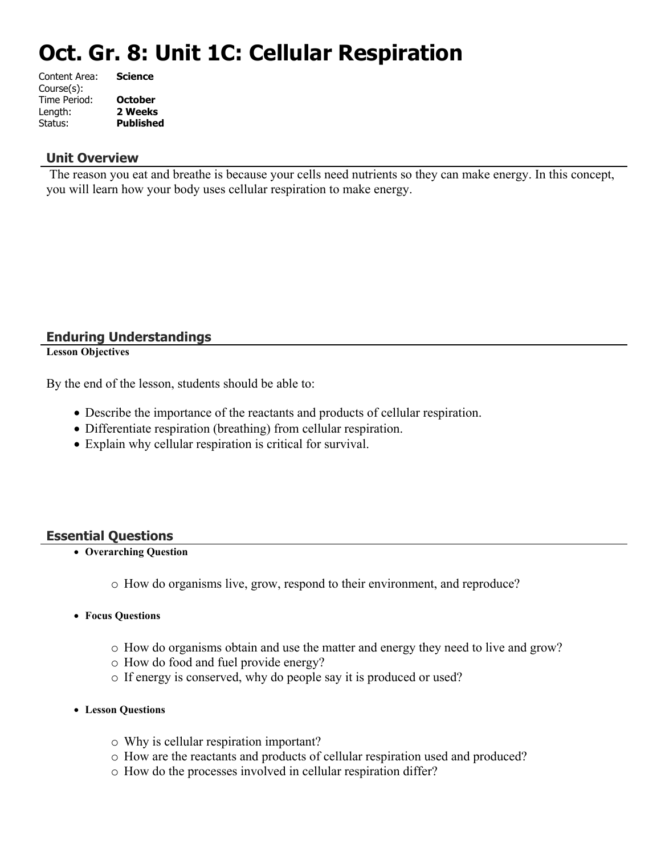# **Oct. Gr. 8: Unit 1C: Cellular Respiration**

| <b>Science</b>   |
|------------------|
|                  |
| <b>October</b>   |
| 2 Weeks          |
| <b>Published</b> |
|                  |

### **Unit Overview**

 The reason you eat and breathe is because your cells need nutrients so they can make energy. In this concept, you will learn how your body uses cellular respiration to make energy.

### **Enduring Understandings**

**Lesson Objectives**

By the end of the lesson, students should be able to:

- Describe the importance of the reactants and products of cellular respiration.
- Differentiate respiration (breathing) from cellular respiration.
- Explain why cellular respiration is critical for survival.

### **Essential Questions**

- **Overarching Question**
	- o How do organisms live, grow, respond to their environment, and reproduce?
- **Focus Questions**
	- o How do organisms obtain and use the matter and energy they need to live and grow?
	- o How do food and fuel provide energy?
	- o If energy is conserved, why do people say it is produced or used?
- **Lesson Questions**
	- o Why is cellular respiration important?
	- o How are the reactants and products of cellular respiration used and produced?
	- o How do the processes involved in cellular respiration differ?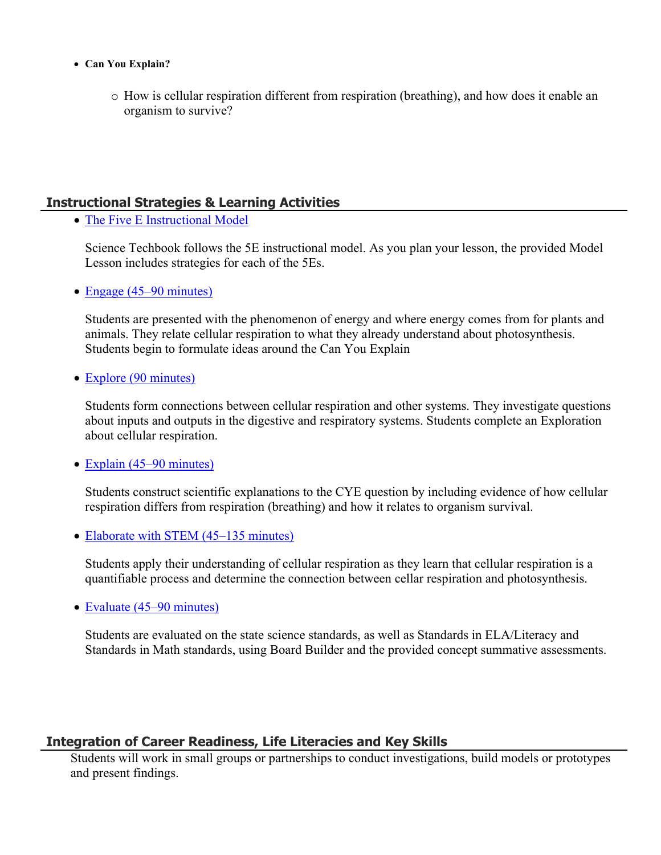- **Can You Explain?**
	- o How is cellular respiration different from respiration (breathing), and how does it enable an organism to survive?

### **Instructional Strategies & Learning Activities**

• [The Five E Instructional Model](https://app.discoveryeducation.com/learn/techbook/units/3391ad2d-bceb-45dc-a68b-8fd21ab33671/concepts/139951f4-15e3-4094-88d9-cd1605c5ae52/lesson/sections/2762ed1d-0536-48f4-bc0b-5dc4259a2bd7#11c71e4d-e733-4041-beb1-0340c6d17924)

Science Techbook follows the 5E instructional model. As you plan your lesson, the provided Model Lesson includes strategies for each of the 5Es.

• [Engage \(45–90 minutes\)](https://app.discoveryeducation.com/learn/techbook/units/3391ad2d-bceb-45dc-a68b-8fd21ab33671/concepts/139951f4-15e3-4094-88d9-cd1605c5ae52/lesson/sections/2762ed1d-0536-48f4-bc0b-5dc4259a2bd7#946971c0-6d0d-4e98-9ef6-2412314d21ff)

Students are presented with the phenomenon of energy and where energy comes from for plants and animals. They relate cellular respiration to what they already understand about photosynthesis. Students begin to formulate ideas around the Can You Explain

• [Explore \(90 minutes\)](https://app.discoveryeducation.com/learn/techbook/units/3391ad2d-bceb-45dc-a68b-8fd21ab33671/concepts/139951f4-15e3-4094-88d9-cd1605c5ae52/lesson/sections/2762ed1d-0536-48f4-bc0b-5dc4259a2bd7#11fb47f7-ef0e-4b36-992c-ebbd30ba8223)

Students form connections between cellular respiration and other systems. They investigate questions about inputs and outputs in the digestive and respiratory systems. Students complete an Exploration about cellular respiration.

• [Explain \(45–90 minutes\)](https://app.discoveryeducation.com/learn/techbook/units/3391ad2d-bceb-45dc-a68b-8fd21ab33671/concepts/139951f4-15e3-4094-88d9-cd1605c5ae52/lesson/sections/2762ed1d-0536-48f4-bc0b-5dc4259a2bd7#c7c060d6-caf7-4b53-861d-6e6db1d1c0b3)

Students construct scientific explanations to the CYE question by including evidence of how cellular respiration differs from respiration (breathing) and how it relates to organism survival.

• [Elaborate with STEM \(45–135 minutes\)](https://app.discoveryeducation.com/learn/techbook/units/3391ad2d-bceb-45dc-a68b-8fd21ab33671/concepts/139951f4-15e3-4094-88d9-cd1605c5ae52/lesson/sections/2762ed1d-0536-48f4-bc0b-5dc4259a2bd7#cf8c95c0-fc21-4d8b-a0df-b594dc51284d)

Students apply their understanding of cellular respiration as they learn that cellular respiration is a quantifiable process and determine the connection between cellar respiration and photosynthesis.

• [Evaluate \(45–90 minutes\)](https://app.discoveryeducation.com/learn/techbook/units/3391ad2d-bceb-45dc-a68b-8fd21ab33671/concepts/139951f4-15e3-4094-88d9-cd1605c5ae52/lesson/sections/2762ed1d-0536-48f4-bc0b-5dc4259a2bd7#59622579-8575-405c-a450-a91889c36510)

Students are evaluated on the state science standards, as well as Standards in ELA/Literacy and Standards in Math standards, using Board Builder and the provided concept summative assessments.

### **Integration of Career Readiness, Life Literacies and Key Skills**

Students will work in small groups or partnerships to conduct investigations, build models or prototypes and present findings.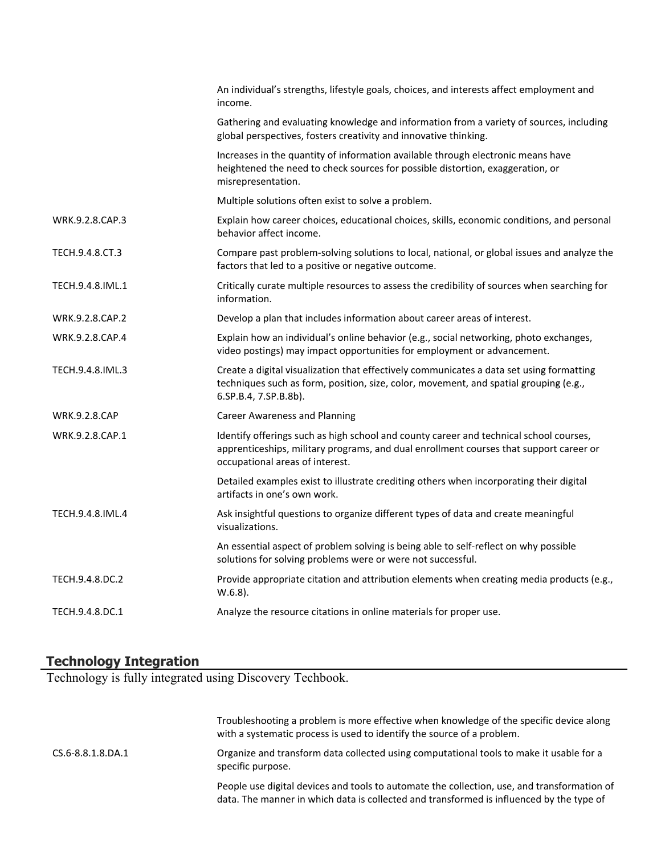|                      | An individual's strengths, lifestyle goals, choices, and interests affect employment and<br>income.                                                                                                                 |
|----------------------|---------------------------------------------------------------------------------------------------------------------------------------------------------------------------------------------------------------------|
|                      | Gathering and evaluating knowledge and information from a variety of sources, including<br>global perspectives, fosters creativity and innovative thinking.                                                         |
|                      | Increases in the quantity of information available through electronic means have<br>heightened the need to check sources for possible distortion, exaggeration, or<br>misrepresentation.                            |
|                      | Multiple solutions often exist to solve a problem.                                                                                                                                                                  |
| WRK.9.2.8.CAP.3      | Explain how career choices, educational choices, skills, economic conditions, and personal<br>behavior affect income.                                                                                               |
| TECH.9.4.8.CT.3      | Compare past problem-solving solutions to local, national, or global issues and analyze the<br>factors that led to a positive or negative outcome.                                                                  |
| TECH.9.4.8.IML.1     | Critically curate multiple resources to assess the credibility of sources when searching for<br>information.                                                                                                        |
| WRK.9.2.8.CAP.2      | Develop a plan that includes information about career areas of interest.                                                                                                                                            |
| WRK.9.2.8.CAP.4      | Explain how an individual's online behavior (e.g., social networking, photo exchanges,<br>video postings) may impact opportunities for employment or advancement.                                                   |
| TECH.9.4.8.IML.3     | Create a digital visualization that effectively communicates a data set using formatting<br>techniques such as form, position, size, color, movement, and spatial grouping (e.g.,<br>6.SP.B.4, 7.SP.B.8b).          |
| <b>WRK.9.2.8.CAP</b> | <b>Career Awareness and Planning</b>                                                                                                                                                                                |
| WRK.9.2.8.CAP.1      | Identify offerings such as high school and county career and technical school courses,<br>apprenticeships, military programs, and dual enrollment courses that support career or<br>occupational areas of interest. |
|                      | Detailed examples exist to illustrate crediting others when incorporating their digital<br>artifacts in one's own work.                                                                                             |
| TECH.9.4.8.IML.4     | Ask insightful questions to organize different types of data and create meaningful<br>visualizations.                                                                                                               |
|                      | An essential aspect of problem solving is being able to self-reflect on why possible<br>solutions for solving problems were or were not successful.                                                                 |
| TECH.9.4.8.DC.2      | Provide appropriate citation and attribution elements when creating media products (e.g.,<br>$W.6.8$ ).                                                                                                             |
| TECH.9.4.8.DC.1      | Analyze the resource citations in online materials for proper use.                                                                                                                                                  |

### **Technology Integration**

Technology is fully integrated using Discovery Techbook.

|                   | Troubleshooting a problem is more effective when knowledge of the specific device along<br>with a systematic process is used to identify the source of a problem.                       |
|-------------------|-----------------------------------------------------------------------------------------------------------------------------------------------------------------------------------------|
| CS.6-8.8.1.8.DA.1 | Organize and transform data collected using computational tools to make it usable for a<br>specific purpose.                                                                            |
|                   | People use digital devices and tools to automate the collection, use, and transformation of<br>data. The manner in which data is collected and transformed is influenced by the type of |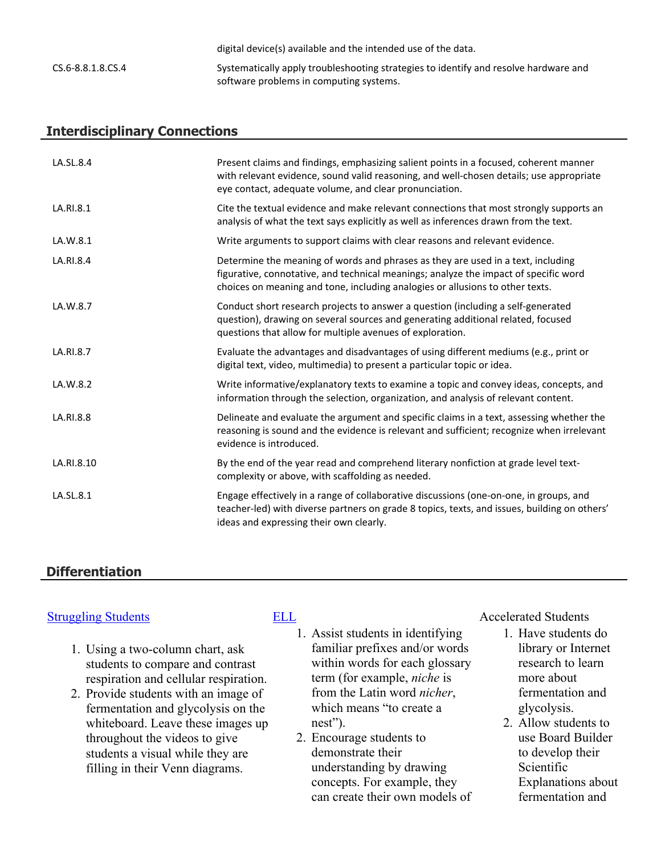|                   | digital device(s) available and the intended use of the data.                        |
|-------------------|--------------------------------------------------------------------------------------|
| CS.6-8.8.1.8.CS.4 | Systematically apply troubleshooting strategies to identify and resolve hardware and |
|                   | software problems in computing systems.                                              |

### **Interdisciplinary Connections**

| LA.SL.8.4  | Present claims and findings, emphasizing salient points in a focused, coherent manner<br>with relevant evidence, sound valid reasoning, and well-chosen details; use appropriate<br>eye contact, adequate volume, and clear pronunciation.                |
|------------|-----------------------------------------------------------------------------------------------------------------------------------------------------------------------------------------------------------------------------------------------------------|
| LA.RI.8.1  | Cite the textual evidence and make relevant connections that most strongly supports an<br>analysis of what the text says explicitly as well as inferences drawn from the text.                                                                            |
| LA.W.8.1   | Write arguments to support claims with clear reasons and relevant evidence.                                                                                                                                                                               |
| LA.RI.8.4  | Determine the meaning of words and phrases as they are used in a text, including<br>figurative, connotative, and technical meanings; analyze the impact of specific word<br>choices on meaning and tone, including analogies or allusions to other texts. |
| LA.W.8.7   | Conduct short research projects to answer a question (including a self-generated<br>question), drawing on several sources and generating additional related, focused<br>questions that allow for multiple avenues of exploration.                         |
| LA.RI.8.7  | Evaluate the advantages and disadvantages of using different mediums (e.g., print or<br>digital text, video, multimedia) to present a particular topic or idea.                                                                                           |
| LA.W.8.2   | Write informative/explanatory texts to examine a topic and convey ideas, concepts, and<br>information through the selection, organization, and analysis of relevant content.                                                                              |
| LA.RI.8.8  | Delineate and evaluate the argument and specific claims in a text, assessing whether the<br>reasoning is sound and the evidence is relevant and sufficient; recognize when irrelevant<br>evidence is introduced.                                          |
| LA.RI.8.10 | By the end of the year read and comprehend literary nonfiction at grade level text-<br>complexity or above, with scaffolding as needed.                                                                                                                   |
| LA.SL.8.1  | Engage effectively in a range of collaborative discussions (one-on-one, in groups, and<br>teacher-led) with diverse partners on grade 8 topics, texts, and issues, building on others'<br>ideas and expressing their own clearly.                         |

### **Differentiation**

### [Struggling Students](https://app.discoveryeducation.com/player/view/assetGuid/4995767F-D634-40C6-B25B-BDEA06E14F90) [ELL](https://app.discoveryeducation.com/player/view/assetGuid/D727DF69-B79B-4A92-AA1F-CE23C74D98D9) Accelerated Students

- 1. Using a two-column chart, ask students to compare and contrast respiration and cellular respiration.
- 2. Provide students with an image of fermentation and glycolysis on the whiteboard. Leave these images up throughout the videos to give students a visual while they are filling in their Venn diagrams.

- 1. Assist students in identifying familiar prefixes and/or words within words for each glossary term (for example, *niche* is from the Latin word *nicher*, which means "to create a nest").
- 2. Encourage students to demonstrate their understanding by drawing concepts. For example, they can create their own models of

- 1. Have students do library or Internet research to learn more about fermentation and glycolysis.
- 2. Allow students to use Board Builder to develop their Scientific Explanations about fermentation and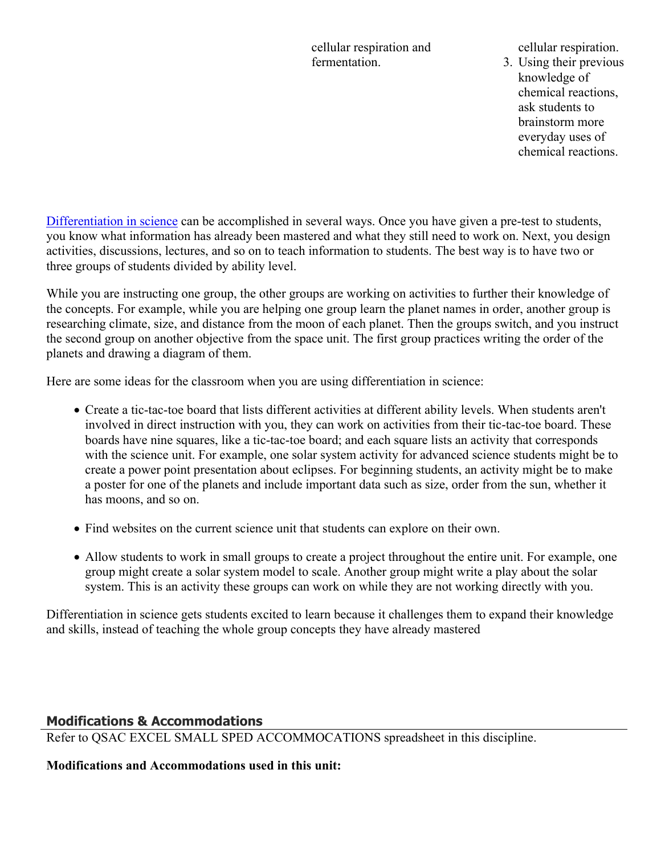cellular respiration and fermentation.

cellular respiration.

3. Using their previous knowledge of chemical reactions, ask students to brainstorm more everyday uses of chemical reactions.

[Differentiation in science](http://www.brighthubeducation.com/teaching-gifted-students/65181-differentiation-techniques-and-activities-in-the-classroom-for-gifted-students/) can be accomplished in several ways. Once you have given a pre-test to students, you know what information has already been mastered and what they still need to work on. Next, you design activities, discussions, lectures, and so on to teach information to students. The best way is to have two or three groups of students divided by ability level.

While you are instructing one group, the other groups are working on activities to further their knowledge of the concepts. For example, while you are helping one group learn the planet names in order, another group is researching climate, size, and distance from the moon of each planet. Then the groups switch, and you instruct the second group on another objective from the space unit. The first group practices writing the order of the planets and drawing a diagram of them.

Here are some ideas for the classroom when you are using differentiation in science:

- Create a tic-tac-toe board that lists different activities at different ability levels. When students aren't involved in direct instruction with you, they can work on activities from their tic-tac-toe board. These boards have nine squares, like a tic-tac-toe board; and each square lists an activity that corresponds with the science unit. For example, one solar system activity for advanced science students might be to create a power point presentation about eclipses. For beginning students, an activity might be to make a poster for one of the planets and include important data such as size, order from the sun, whether it has moons, and so on.
- Find websites on the current science unit that students can explore on their own.
- Allow students to work in small groups to create a project throughout the entire unit. For example, one group might create a solar system model to scale. Another group might write a play about the solar system. This is an activity these groups can work on while they are not working directly with you.

Differentiation in science gets students excited to learn because it challenges them to expand their knowledge and skills, instead of teaching the whole group concepts they have already mastered

### **Modifications & Accommodations**

Refer to QSAC EXCEL SMALL SPED ACCOMMOCATIONS spreadsheet in this discipline.

### **Modifications and Accommodations used in this unit:**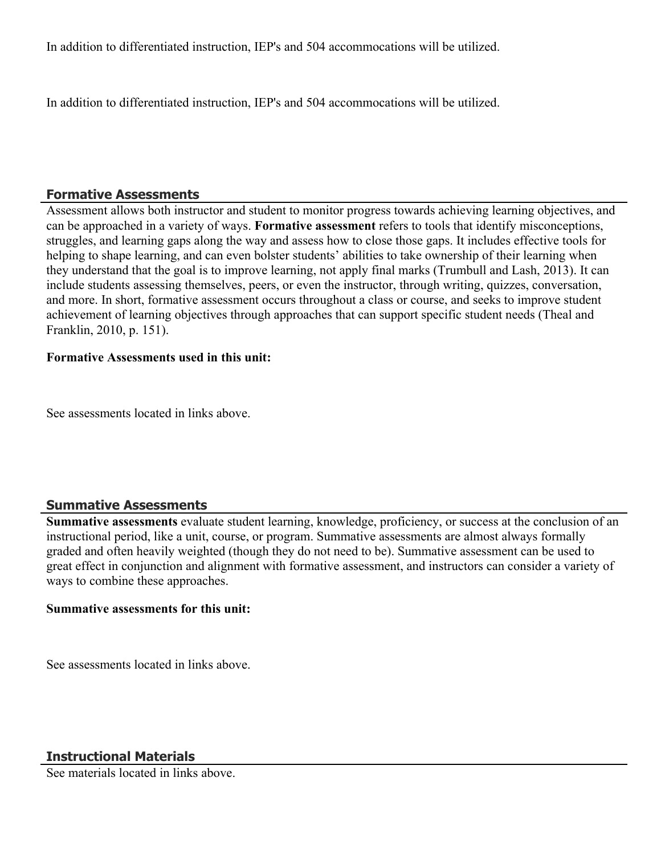In addition to differentiated instruction, IEP's and 504 accommocations will be utilized.

In addition to differentiated instruction, IEP's and 504 accommocations will be utilized.

### **Formative Assessments**

Assessment allows both instructor and student to monitor progress towards achieving learning objectives, and can be approached in a variety of ways. **Formative assessment** refers to tools that identify misconceptions, struggles, and learning gaps along the way and assess how to close those gaps. It includes effective tools for helping to shape learning, and can even bolster students' abilities to take ownership of their learning when they understand that the goal is to improve learning, not apply final marks (Trumbull and Lash, 2013). It can include students assessing themselves, peers, or even the instructor, through writing, quizzes, conversation, and more. In short, formative assessment occurs throughout a class or course, and seeks to improve student achievement of learning objectives through approaches that can support specific student needs (Theal and Franklin, 2010, p. 151).

### **Formative Assessments used in this unit:**

See assessments located in links above.

### **Summative Assessments**

**Summative assessments** evaluate student learning, knowledge, proficiency, or success at the conclusion of an instructional period, like a unit, course, or program. Summative assessments are almost always formally graded and often heavily weighted (though they do not need to be). Summative assessment can be used to great effect in conjunction and alignment with formative assessment, and instructors can consider a variety of ways to combine these approaches.

### **Summative assessments for this unit:**

See assessments located in links above.

See materials located in links above.